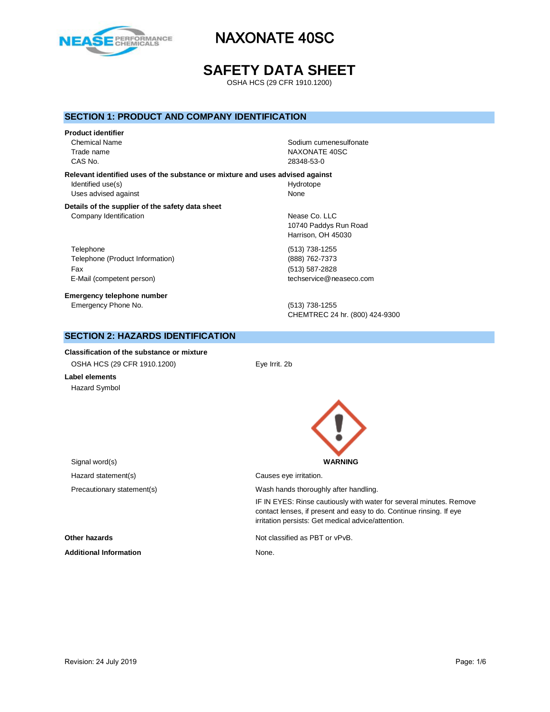

# **SAFETY DATA SHEET**

OSHA HCS (29 CFR 1910.1200)

### **SECTION 1: PRODUCT AND COMPANY IDENTIFICATION**

#### **Product identifier**

CAS No. 28348-53-0

Chemical Name **Solid Name** Sodium cumenesulfonate Trade name NAXONATE 40SC

**Relevant identified uses of the substance or mixture and uses advised against** Identified use(s) and the extent of the Hydrotope Hydrotope Uses advised against None

#### **Details of the supplier of the safety data sheet** Company Identification **Nearly 19** Nease Co. LLC

Telephone (513) 738-1255 Telephone (Product Information) (888) 762-7373 Fax (513) 587-2828 E-Mail (competent person) example a second techservice@neaseco.com

**Emergency telephone number** Emergency Phone No. (513) 738-1255

10740 Paddys Run Road Harrison, OH 45030

CHEMTREC 24 hr. (800) 424-9300

### **SECTION 2: HAZARDS IDENTIFICATION**

**Classification of the substance or mixture** OSHA HCS (29 CFR 1910.1200) Eye Irrit. 2b

**Label elements** Hazard Symbol



irritation persists: Get medical advice/attention.

IF IN EYES: Rinse cautiously with water for several minutes. Remove contact lenses, if present and easy to do. Continue rinsing. If eye

Signal word(s) **WARNING** Hazard statement(s) example a control causes eye irritation. Precautionary statement(s) example a wash hands thoroughly after handling.

**Other hazards Not classified as PBT or vPvB.** 

Additional Information **None.** None.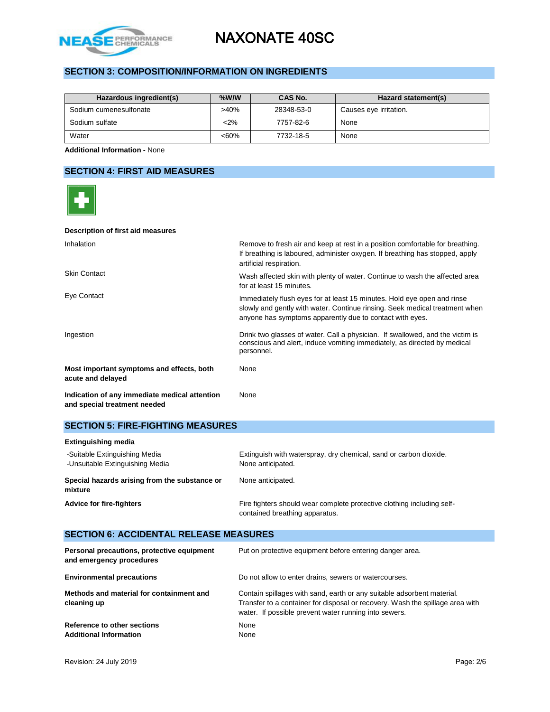

# **SECTION 3: COMPOSITION/INFORMATION ON INGREDIENTS**

| Hazardous ingredient(s) | $%$ W/W | CAS No.    | Hazard statement(s)    |
|-------------------------|---------|------------|------------------------|
| Sodium cumenesulfonate  | $>40\%$ | 28348-53-0 | Causes eye irritation. |
| Sodium sulfate          | $2\%$   | 7757-82-6  | None                   |
| Water                   | $<60\%$ | 7732-18-5  | None                   |

**Additional Information -** None

### **SECTION 4: FIRST AID MEASURES**

| Description of first aid measures                                             |                                                                                                                                                                                                                    |
|-------------------------------------------------------------------------------|--------------------------------------------------------------------------------------------------------------------------------------------------------------------------------------------------------------------|
| Inhalation                                                                    | Remove to fresh air and keep at rest in a position comfortable for breathing.<br>If breathing is laboured, administer oxygen. If breathing has stopped, apply<br>artificial respiration.                           |
| <b>Skin Contact</b>                                                           | Wash affected skin with plenty of water. Continue to wash the affected area<br>for at least 15 minutes.                                                                                                            |
| Eye Contact                                                                   | Immediately flush eyes for at least 15 minutes. Hold eye open and rinse<br>slowly and gently with water. Continue rinsing. Seek medical treatment when<br>anyone has symptoms apparently due to contact with eyes. |
| Ingestion                                                                     | Drink two glasses of water. Call a physician. If swallowed, and the victim is<br>conscious and alert, induce vomiting immediately, as directed by medical<br>personnel.                                            |
| Most important symptoms and effects, both<br>acute and delayed                | None                                                                                                                                                                                                               |
| Indication of any immediate medical attention<br>and special treatment needed | None                                                                                                                                                                                                               |

### **SECTION 5: FIRE-FIGHTING MEASURES**

Additional Information **None** 

| <b>Extinguishing media</b>                                       |                                                                                                          |  |  |
|------------------------------------------------------------------|----------------------------------------------------------------------------------------------------------|--|--|
| -Suitable Extinguishing Media<br>-Unsuitable Extinguishing Media | Extinguish with waterspray, dry chemical, sand or carbon dioxide.<br>None anticipated.                   |  |  |
| Special hazards arising from the substance or<br>mixture         | None anticipated.                                                                                        |  |  |
| <b>Advice for fire-fighters</b>                                  | Fire fighters should wear complete protective clothing including self-<br>contained breathing apparatus. |  |  |

### **SECTION 6: ACCIDENTAL RELEASE MEASURES Personal precautions, protective equipment and emergency procedures** Put on protective equipment before entering danger area. **Environmental precautions Do not allow to enter drains, sewers or watercourses. Methods and material for containment and cleaning up** Contain spillages with sand, earth or any suitable adsorbent material. Transfer to a container for disposal or recovery. Wash the spillage area with water. If possible prevent water running into sewers. **Reference to other sections None**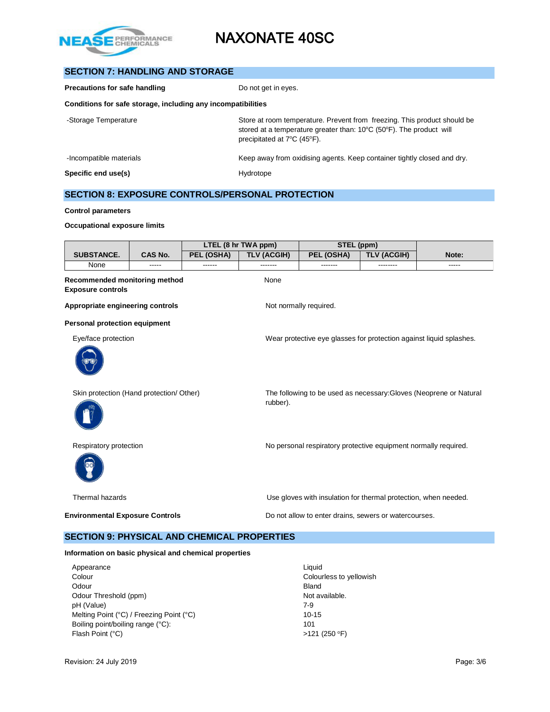

# **SECTION 7: HANDLING AND STORAGE**

| Precautions for safe handling                                | Do not get in eyes.                                                                                                                                                                                           |  |  |  |
|--------------------------------------------------------------|---------------------------------------------------------------------------------------------------------------------------------------------------------------------------------------------------------------|--|--|--|
| Conditions for safe storage, including any incompatibilities |                                                                                                                                                                                                               |  |  |  |
| -Storage Temperature                                         | Store at room temperature. Prevent from freezing. This product should be<br>stored at a temperature greater than: $10^{\circ}$ C (50 $^{\circ}$ F). The product will<br>precipitated at $7^{\circ}$ C (45°F). |  |  |  |
| -Incompatible materials                                      | Keep away from oxidising agents. Keep container tightly closed and dry.                                                                                                                                       |  |  |  |
| Specific end use(s)                                          | Hydrotope                                                                                                                                                                                                     |  |  |  |

# **SECTION 8: EXPOSURE CONTROLS/PERSONAL PROTECTION**

#### **Control parameters**

#### **Occupational exposure limits**

|                                                           |         |            | LTEL (8 hr TWA ppm)                                                            | STEL (ppm)                                                          |                    |       |  |  |  |
|-----------------------------------------------------------|---------|------------|--------------------------------------------------------------------------------|---------------------------------------------------------------------|--------------------|-------|--|--|--|
| <b>SUBSTANCE.</b>                                         | CAS No. | PEL (OSHA) | <b>TLV (ACGIH)</b>                                                             | PEL (OSHA)                                                          | <b>TLV (ACGIH)</b> | Note: |  |  |  |
| None                                                      | -----   | ------     | -------                                                                        | -------                                                             | --------           | ----- |  |  |  |
| Recommended monitoring method<br><b>Exposure controls</b> |         |            | None                                                                           |                                                                     |                    |       |  |  |  |
| Appropriate engineering controls                          |         |            |                                                                                | Not normally required.                                              |                    |       |  |  |  |
| <b>Personal protection equipment</b>                      |         |            |                                                                                |                                                                     |                    |       |  |  |  |
| Eye/face protection                                       |         |            |                                                                                | Wear protective eye glasses for protection against liquid splashes. |                    |       |  |  |  |
| Skin protection (Hand protection/ Other)                  |         |            | The following to be used as necessary: Gloves (Neoprene or Natural<br>rubber). |                                                                     |                    |       |  |  |  |
| Respiratory protection                                    |         |            |                                                                                | No personal respiratory protective equipment normally required.     |                    |       |  |  |  |
| Thermal hazards                                           |         |            |                                                                                | Use gloves with insulation for thermal protection, when needed.     |                    |       |  |  |  |
| <b>Environmental Exposure Controls</b>                    |         |            |                                                                                | Do not allow to enter drains, sewers or watercourses.               |                    |       |  |  |  |

### **SECTION 9: PHYSICAL AND CHEMICAL PROPERTIES**

### **Information on basic physical and chemical properties**

| Appearance                               | Liauid                  |
|------------------------------------------|-------------------------|
| Colour                                   | Colourless to yellowish |
| Odour                                    | <b>Bland</b>            |
| Odour Threshold (ppm)                    | Not available.          |
| pH (Value)                               | 7-9                     |
| Melting Point (°C) / Freezing Point (°C) | $10 - 15$               |
| Boiling point/boiling range (°C):        | 101                     |
| Flash Point (°C)                         | $>121$ (250 °F)         |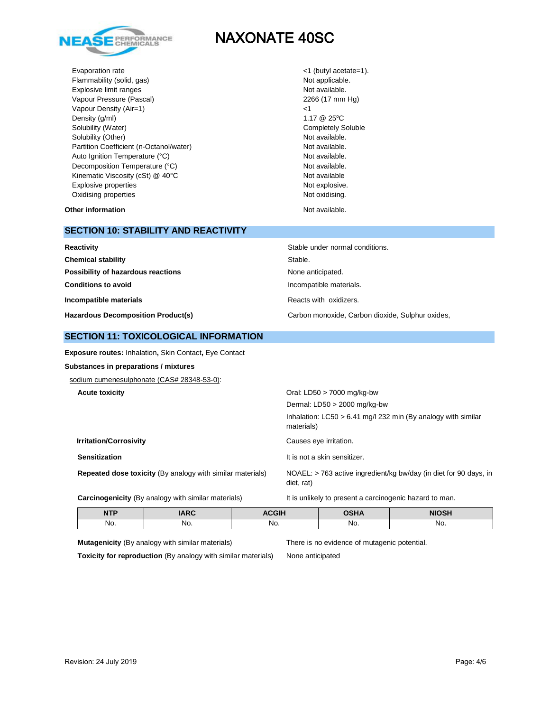

Evaporation rate  $\langle 1 \rangle$  (butyl acetate=1). Flammability (solid, gas) Not applicable. Explosive limit ranges Not available. Vapour Pressure (Pascal) 2266 (17 mm Hg) Vapour Density (Air=1)  $\leq$  25°C<br>Density (g/ml) 1.17 @ 25°C Density (g/ml) Solubility (Water) Completely Soluble Solubility (Other) Not available. Partition Coefficient (n-Octanol/water) Not available. Auto Ignition Temperature (°C) and the control of the Not available. Decomposition Temperature (°C) Not available. Kinematic Viscosity (cSt) @ 40°C Not available Not available Explosive properties Not explosive. Oxidising properties **Not oxidising** properties Not oxidising.

**Other information Not available. Other information** 

# **SECTION 10: STABILITY AND REACTIVITY**

| Reactivity                                | Stable under normal conditions.                  |
|-------------------------------------------|--------------------------------------------------|
| <b>Chemical stability</b>                 | Stable.                                          |
| Possibility of hazardous reactions        | None anticipated.                                |
| <b>Conditions to avoid</b>                | Incompatible materials.                          |
| Incompatible materials                    | Reacts with oxidizers.                           |
| <b>Hazardous Decomposition Product(s)</b> | Carbon monoxide, Carbon dioxide, Sulphur oxides, |

### **SECTION 11: TOXICOLOGICAL INFORMATION**

**Exposure routes:** Inhalation**,** Skin Contact**,** Eye Contact

### **Substances in preparations / mixtures**

sodium cumenesulphonate (CAS# 28348-53-0):

| <b>Acute toxicity</b>                                             | Oral: LD50 $>$ 7000 mg/kg-bw                                                    |
|-------------------------------------------------------------------|---------------------------------------------------------------------------------|
|                                                                   | Dermal: $LD50 > 2000$ mg/kg-bw                                                  |
|                                                                   | Inhalation: $LC50 > 6.41$ mg/l 232 min (By analogy with similar<br>materials)   |
| <b>Irritation/Corrosivity</b>                                     | Causes eye irritation.                                                          |
| <b>Sensitization</b>                                              | It is not a skin sensitizer.                                                    |
| <b>Repeated dose toxicity (By analogy with similar materials)</b> | NOAEL: > 763 active ingredient/kg bw/day (in diet for 90 days, in<br>diet, rat) |

**Carcinogenicity** (By analogy with similar materials) It is unlikely to present a carcinogenic hazard to man.

| <b>NTP</b> | ADC | <b>ACGIF</b> | <b>OSHA</b> | <b>NIOSH</b> |
|------------|-----|--------------|-------------|--------------|
| No.        | No. | No.          | No.         | No.          |

**Mutagenicity** (By analogy with similar materials) There is no evidence of mutagenic potential.

**Toxicity for reproduction** (By analogy with similar materials) None anticipated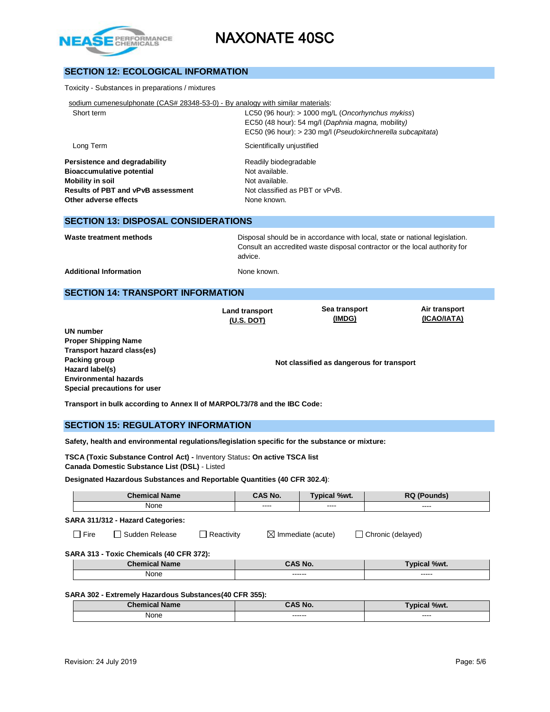

# **SECTION 12: ECOLOGICAL INFORMATION**

#### Toxicity - Substances in preparations / mixtures

| sodium cumenesulphonate (CAS# 28348-53-0) - By analogy with similar materials: |  |  |  |  |  |
|--------------------------------------------------------------------------------|--|--|--|--|--|
|                                                                                |  |  |  |  |  |

| Short term | LC50 (96 hour): $> 1000$ mg/L (Oncorhynchus mykiss)         |
|------------|-------------------------------------------------------------|
|            | EC50 (48 hour): 54 mg/l (Daphnia magna, mobility)           |
|            | EC50 (96 hour): > 230 mg/l (Pseudokirchnerella subcapitata) |
| Long Term  | Scientifically unjustified                                  |

**Persistence and degradability** Readily biodegradable **Bioaccumulative potential Not available. Mobility in soil Mobility in soil Results of PBT and vPvB assessment** Not classified as PBT or vPvB. **Other adverse effects** None known.

### **SECTION 13: DISPOSAL CONSIDERATIONS**

**Waste treatment methods** Disposal should be in accordance with local, state or national legislation. Consult an accredited waste disposal contractor or the local authority for advice.

Additional Information **None known.** None known.

### **SECTION 14: TRANSPORT INFORMATION**

**Land transport (U.S. DOT)**

**Sea transport (IMDG)**

**Air transport (ICAO/IATA)**

**UN number Proper Shipping Name Transport hazard class(es) Packing group Hazard label(s) Environmental hazards Special precautions for user**

**Not classified as dangerous for transport**

**Transport in bulk according to Annex II of MARPOL73/78 and the IBC Code:** 

### **SECTION 15: REGULATORY INFORMATION**

**Safety, health and environmental regulations/legislation specific for the substance or mixture:**

**TSCA (Toxic Substance Control Act) -** Inventory Status**: On active TSCA list Canada Domestic Substance List (DSL)** - Listed

#### **Designated Hazardous Substances and Reportable Quantities (40 CFR 302.4)**:

| <b>Chemical Name</b>                     |                       |                   | CAS No. | Typical %wt.                                       | <b>RQ (Pounds)</b>  |  |  |  |
|------------------------------------------|-----------------------|-------------------|---------|----------------------------------------------------|---------------------|--|--|--|
| None                                     |                       |                   | ----    | ----                                               | ----                |  |  |  |
| SARA 311/312 - Hazard Categories:        |                       |                   |         |                                                    |                     |  |  |  |
| $\Box$ Fire                              | $\Box$ Sudden Release | $\Box$ Reactivity |         | $\boxtimes$ Immediate (acute)<br>Chronic (delayed) |                     |  |  |  |
| SARA 313 - Toxic Chemicals (40 CFR 372): |                       |                   |         |                                                    |                     |  |  |  |
|                                          | <b>Chemical Name</b>  |                   |         | CAS No.                                            | <b>Typical %wt.</b> |  |  |  |
| None                                     |                       |                   |         | ------                                             | -----               |  |  |  |
|                                          |                       |                   |         |                                                    |                     |  |  |  |

### **SARA 302 - Extremely Hazardous Substances(40 CFR 355):**

| <b>Chemical Name</b> | <b>AS No.</b>     | Typical %wt.      |
|----------------------|-------------------|-------------------|
| None                 | ------<br>------- | $\cdots$<br>_____ |